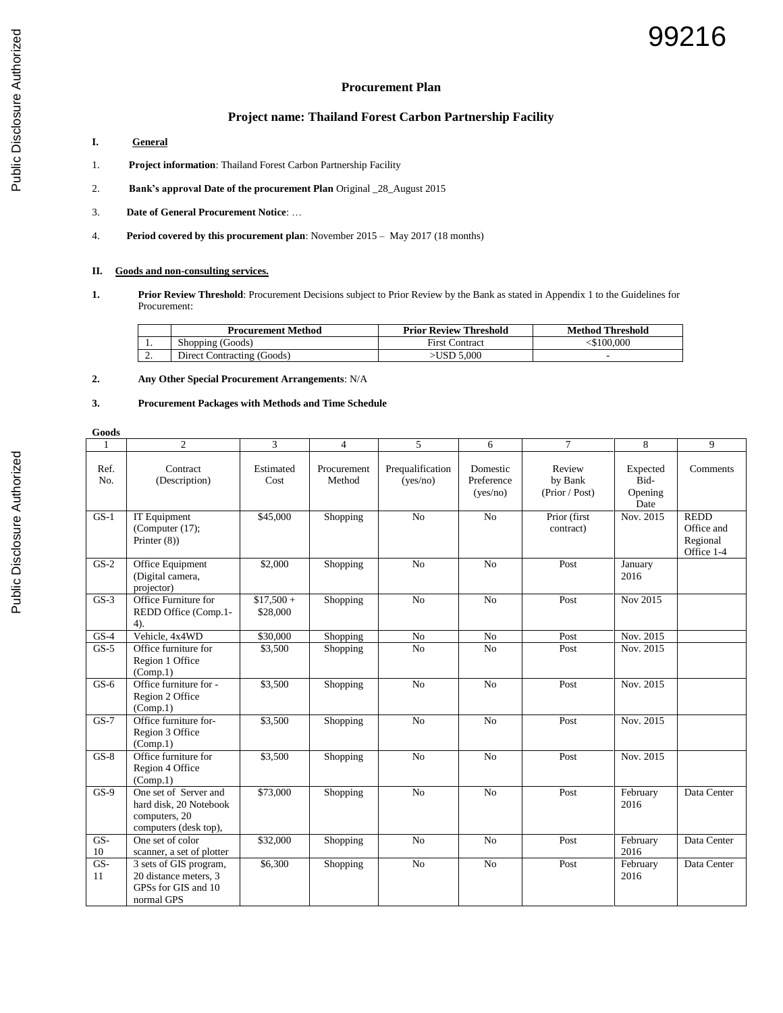## **Procurement Plan**

# **Project name: Thailand Forest Carbon Partnership Facility**

- **I. General**
- 1. **Project information**: Thailand Forest Carbon Partnership Facility
- 2. **Bank's approval Date of the procurement Plan** Original \_28\_August 2015
- 3. **Date of General Procurement Notice**: …
- 4. **Period covered by this procurement plan**: November 2015 May 2017 (18 months)

### **II. Goods and non-consulting services.**

**1. Prior Review Threshold**: Procurement Decisions subject to Prior Review by the Bank as stated in Appendix 1 to the Guidelines for Procurement:

|          | <b>Procurement Method</b>  | <b>Prior Review Threshold</b> | <b>Method Threshold</b> |
|----------|----------------------------|-------------------------------|-------------------------|
| . .      | Shopping (Goods)           | <b>First Contract</b>         | <\$100.000              |
| <u>.</u> | Direct Contracting (Goods) | >USD 5.000                    |                         |

**2. Any Other Special Procurement Arrangements**: N/A

### **3. Procurement Packages with Methods and Time Schedule**

| Goods       |                                                                                           |                        |                       |                              |                                    |                                     |                                     |                                                     |
|-------------|-------------------------------------------------------------------------------------------|------------------------|-----------------------|------------------------------|------------------------------------|-------------------------------------|-------------------------------------|-----------------------------------------------------|
|             | $\overline{2}$                                                                            | 3                      | $\overline{4}$        | 5                            | 6                                  | $\tau$                              | 8                                   | 9                                                   |
| Ref.<br>No. | Contract<br>(Description)                                                                 | Estimated<br>Cost      | Procurement<br>Method | Prequalification<br>(yes/no) | Domestic<br>Preference<br>(yes/no) | Review<br>by Bank<br>(Prior / Post) | Expected<br>Bid-<br>Opening<br>Date | Comments                                            |
| $GS-1$      | IT Equipment<br>(Computer $(17)$ ;<br>Printer $(8)$ )                                     | \$45,000               | Shopping              | N <sub>o</sub>               | No                                 | Prior (first<br>contract)           | Nov. 2015                           | <b>REDD</b><br>Office and<br>Regional<br>Office 1-4 |
| $GS-2$      | Office Equipment<br>(Digital camera,<br>projector)                                        | \$2,000                | Shopping              | No                           | No                                 | Post                                | January<br>2016                     |                                                     |
| $GS-3$      | Office Furniture for<br>REDD Office (Comp.1-<br>4).                                       | $$17,500+$<br>\$28,000 | Shopping              | N <sub>o</sub>               | No                                 | Post                                | Nov 2015                            |                                                     |
| $GS-4$      | Vehicle, 4x4WD                                                                            | \$30,000               | Shopping              | No                           | No                                 | Post                                | Nov. 2015                           |                                                     |
| $GS-5$      | Office furniture for<br>Region 1 Office<br>(Comp.1)                                       | \$3,500                | Shopping              | N <sub>o</sub>               | N <sub>o</sub>                     | Post                                | Nov. 2015                           |                                                     |
| $GS-6$      | Office furniture for -<br>Region 2 Office<br>(Comp.1)                                     | \$3,500                | Shopping              | N <sub>o</sub>               | No                                 | Post                                | Nov. 2015                           |                                                     |
| $GS-7$      | Office furniture for-<br>Region 3 Office<br>(Comp.1)                                      | \$3,500                | Shopping              | No                           | No                                 | Post                                | Nov. 2015                           |                                                     |
| $GS-8$      | Office furniture for<br>Region 4 Office<br>(Comp.1)                                       | \$3,500                | Shopping              | No                           | N <sub>o</sub>                     | Post                                | Nov. 2015                           |                                                     |
| $GS-9$      | One set of Server and<br>hard disk, 20 Notebook<br>computers, 20<br>computers (desk top), | \$73,000               | Shopping              | N <sub>o</sub>               | No                                 | Post                                | February<br>2016                    | Data Center                                         |
| GS-<br>10   | One set of color<br>scanner, a set of plotter                                             | \$32,000               | Shopping              | No                           | No                                 | Post                                | February<br>2016                    | Data Center                                         |
| $GS-$<br>11 | 3 sets of GIS program,<br>20 distance meters, 3<br>GPSs for GIS and 10<br>normal GPS      | \$6,300                | Shopping              | No                           | No                                 | Post                                | February<br>2016                    | Data Center                                         |